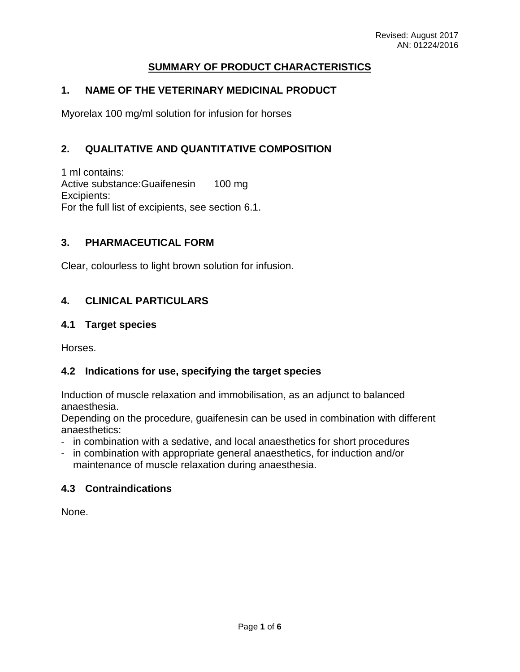## **SUMMARY OF PRODUCT CHARACTERISTICS**

### **1. NAME OF THE VETERINARY MEDICINAL PRODUCT**

Myorelax 100 mg/ml solution for infusion for horses

## **2. QUALITATIVE AND QUANTITATIVE COMPOSITION**

1 ml contains: Active substance: Guaifenesin 100 mg Excipients: For the full list of excipients, see section 6.1.

### **3. PHARMACEUTICAL FORM**

Clear, colourless to light brown solution for infusion.

## **4. CLINICAL PARTICULARS**

#### **4.1 Target species**

Horses.

### **4.2 Indications for use, specifying the target species**

Induction of muscle relaxation and immobilisation, as an adjunct to balanced anaesthesia.

Depending on the procedure, guaifenesin can be used in combination with different anaesthetics:

- in combination with a sedative, and local anaesthetics for short procedures
- in combination with appropriate general anaesthetics, for induction and/or maintenance of muscle relaxation during anaesthesia.

### **4.3 Contraindications**

None.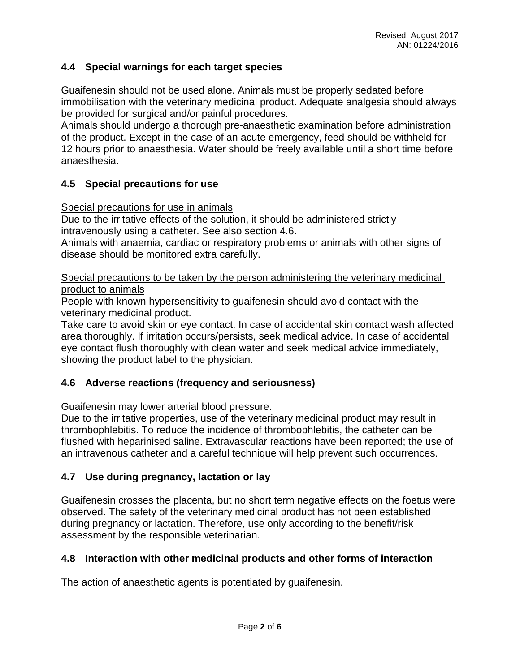## **4.4 Special warnings for each target species**

Guaifenesin should not be used alone. Animals must be properly sedated before immobilisation with the veterinary medicinal product. Adequate analgesia should always be provided for surgical and/or painful procedures.

Animals should undergo a thorough pre-anaesthetic examination before administration of the product. Except in the case of an acute emergency, feed should be withheld for 12 hours prior to anaesthesia. Water should be freely available until a short time before anaesthesia.

## **4.5 Special precautions for use**

Special precautions for use in animals

Due to the irritative effects of the solution, it should be administered strictly intravenously using a catheter. See also section 4.6.

Animals with anaemia, cardiac or respiratory problems or animals with other signs of disease should be monitored extra carefully.

Special precautions to be taken by the person administering the veterinary medicinal product to animals

People with known hypersensitivity to guaifenesin should avoid contact with the veterinary medicinal product.

Take care to avoid skin or eye contact. In case of accidental skin contact wash affected area thoroughly. If irritation occurs/persists, seek medical advice. In case of accidental eye contact flush thoroughly with clean water and seek medical advice immediately, showing the product label to the physician.

### **4.6 Adverse reactions (frequency and seriousness)**

Guaifenesin may lower arterial blood pressure.

Due to the irritative properties, use of the veterinary medicinal product may result in thrombophlebitis. To reduce the incidence of thrombophlebitis, the catheter can be flushed with heparinised saline. Extravascular reactions have been reported; the use of an intravenous catheter and a careful technique will help prevent such occurrences.

### **4.7 Use during pregnancy, lactation or lay**

Guaifenesin crosses the placenta, but no short term negative effects on the foetus were observed. The safety of the veterinary medicinal product has not been established during pregnancy or lactation. Therefore, use only according to the benefit/risk assessment by the responsible veterinarian.

### **4.8 Interaction with other medicinal products and other forms of interaction**

The action of anaesthetic agents is potentiated by guaifenesin.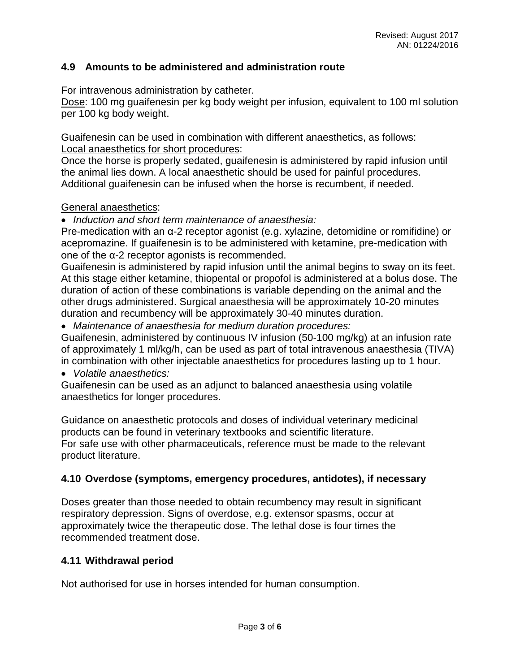### **4.9 Amounts to be administered and administration route**

For intravenous administration by catheter.

Dose: 100 mg guaifenesin per kg body weight per infusion, equivalent to 100 ml solution per 100 kg body weight.

Guaifenesin can be used in combination with different anaesthetics, as follows: Local anaesthetics for short procedures:

Once the horse is properly sedated, guaifenesin is administered by rapid infusion until the animal lies down. A local anaesthetic should be used for painful procedures. Additional guaifenesin can be infused when the horse is recumbent, if needed.

### General anaesthetics:

• *Induction and short term maintenance of anaesthesia:*

Pre-medication with an α-2 receptor agonist (e.g. xylazine, detomidine or romifidine) or acepromazine. If guaifenesin is to be administered with ketamine, pre-medication with one of the α-2 receptor agonists is recommended.

Guaifenesin is administered by rapid infusion until the animal begins to sway on its feet. At this stage either ketamine, thiopental or propofol is administered at a bolus dose. The duration of action of these combinations is variable depending on the animal and the other drugs administered. Surgical anaesthesia will be approximately 10-20 minutes duration and recumbency will be approximately 30-40 minutes duration.

• *Maintenance of anaesthesia for medium duration procedures:*

Guaifenesin, administered by continuous IV infusion (50-100 mg/kg) at an infusion rate of approximately 1 ml/kg/h, can be used as part of total intravenous anaesthesia (TIVA) in combination with other injectable anaesthetics for procedures lasting up to 1 hour.

• *Volatile anaesthetics:*

Guaifenesin can be used as an adjunct to balanced anaesthesia using volatile anaesthetics for longer procedures.

Guidance on anaesthetic protocols and doses of individual veterinary medicinal products can be found in veterinary textbooks and scientific literature. For safe use with other pharmaceuticals, reference must be made to the relevant product literature.

# **4.10 Overdose (symptoms, emergency procedures, antidotes), if necessary**

Doses greater than those needed to obtain recumbency may result in significant respiratory depression. Signs of overdose, e.g. extensor spasms, occur at approximately twice the therapeutic dose. The lethal dose is four times the recommended treatment dose.

### **4.11 Withdrawal period**

Not authorised for use in horses intended for human consumption.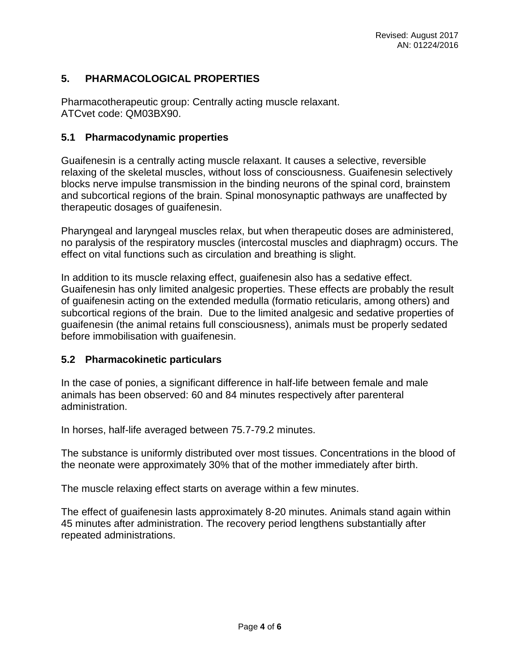# **5. PHARMACOLOGICAL PROPERTIES**

Pharmacotherapeutic group: Centrally acting muscle relaxant. ATCvet code: QM03BX90.

### **5.1 Pharmacodynamic properties**

Guaifenesin is a centrally acting muscle relaxant. It causes a selective, reversible relaxing of the skeletal muscles, without loss of consciousness. Guaifenesin selectively blocks nerve impulse transmission in the binding neurons of the spinal cord, brainstem and subcortical regions of the brain. Spinal monosynaptic pathways are unaffected by therapeutic dosages of guaifenesin.

Pharyngeal and laryngeal muscles relax, but when therapeutic doses are administered, no paralysis of the respiratory muscles (intercostal muscles and diaphragm) occurs. The effect on vital functions such as circulation and breathing is slight.

In addition to its muscle relaxing effect, guaifenesin also has a sedative effect. Guaifenesin has only limited analgesic properties. These effects are probably the result of guaifenesin acting on the extended medulla (formatio reticularis, among others) and subcortical regions of the brain. Due to the limited analgesic and sedative properties of guaifenesin (the animal retains full consciousness), animals must be properly sedated before immobilisation with guaifenesin.

### **5.2 Pharmacokinetic particulars**

In the case of ponies, a significant difference in half-life between female and male animals has been observed: 60 and 84 minutes respectively after parenteral administration.

In horses, half-life averaged between 75.7-79.2 minutes.

The substance is uniformly distributed over most tissues. Concentrations in the blood of the neonate were approximately 30% that of the mother immediately after birth.

The muscle relaxing effect starts on average within a few minutes.

The effect of guaifenesin lasts approximately 8-20 minutes. Animals stand again within 45 minutes after administration. The recovery period lengthens substantially after repeated administrations.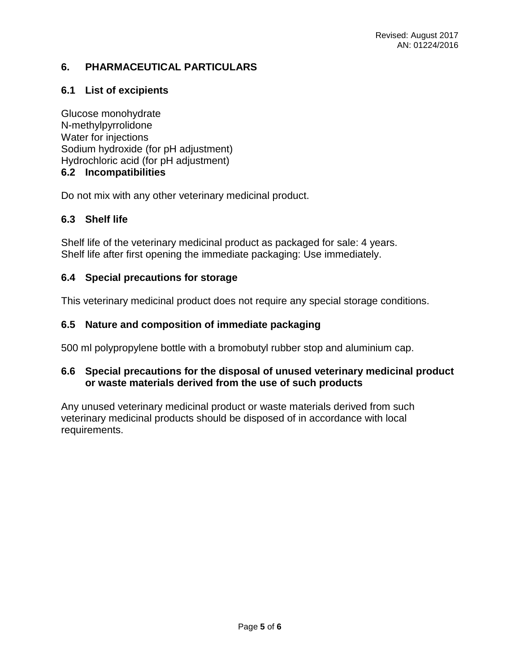# **6. PHARMACEUTICAL PARTICULARS**

# **6.1 List of excipients**

Glucose monohydrate N-methylpyrrolidone Water for injections Sodium hydroxide (for pH adjustment) Hydrochloric acid (for pH adjustment) **6.2 Incompatibilities**

Do not mix with any other veterinary medicinal product.

# **6.3 Shelf life**

Shelf life of the veterinary medicinal product as packaged for sale: 4 years. Shelf life after first opening the immediate packaging: Use immediately.

# **6.4 Special precautions for storage**

This veterinary medicinal product does not require any special storage conditions.

# **6.5 Nature and composition of immediate packaging**

500 ml polypropylene bottle with a bromobutyl rubber stop and aluminium cap.

## **6.6 Special precautions for the disposal of unused veterinary medicinal product or waste materials derived from the use of such products**

Any unused veterinary medicinal product or waste materials derived from such veterinary medicinal products should be disposed of in accordance with local requirements.